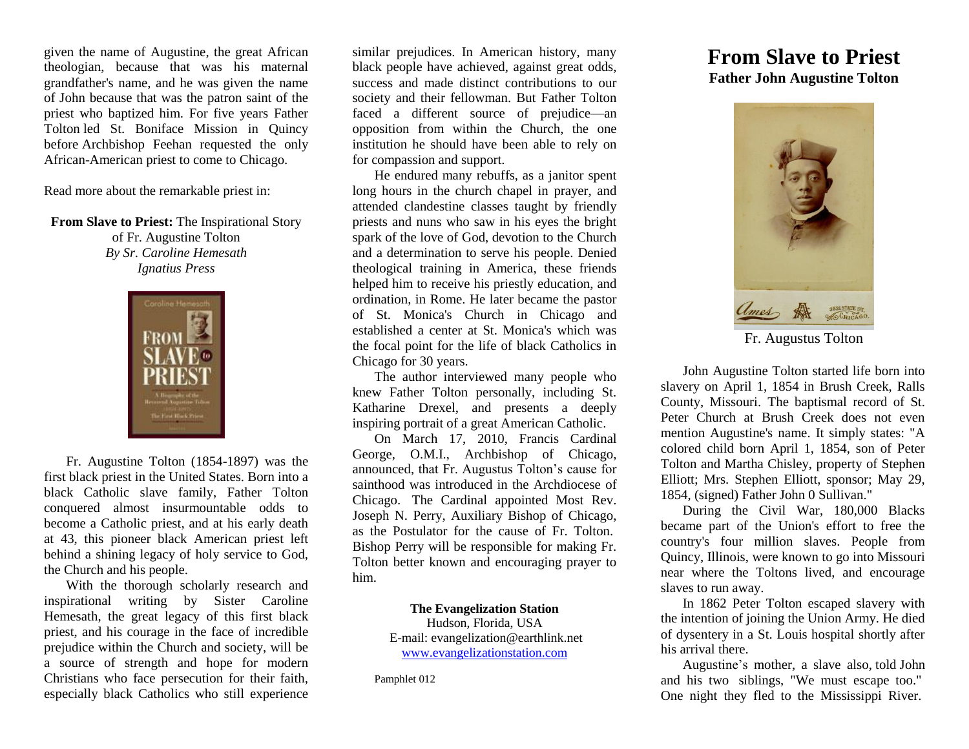given the name of Augustine, the great African theologian, because that was his maternal grandfather's name, and he was given the name of John because that was the patron saint of the priest who baptized him. For five years Father Tolton led St. Boniface Mission in Quincy before Archbishop Feehan requested the only African-American priest to come to Chicago.

Read more about the remarkable priest in:

**From Slave to Priest:** The Inspirational Story of Fr. Augustine Tolton *By Sr. Caroline Hemesath Ignatius Press*



Fr. Augustine Tolton (1854-1897) was the first black priest in the United States. Born into a black Catholic slave family, Father Tolton conquered almost insurmountable odds to become a Catholic priest, and at his early death at 43, this pioneer black American priest left behind a shining legacy of holy service to God, the Church and his people.

With the thorough scholarly research and inspirational writing by Sister Caroline Hemesath, the great legacy of this first black priest, and his courage in the face of incredible prejudice within the Church and society, will be a source of strength and hope for modern Christians who face persecution for their faith, especially black Catholics who still experience

similar prejudices. In American history, many black people have achieved, against great odds, success and made distinct contributions to our society and their fellowman. But Father Tolton faced a different source of prejudice—an opposition from within the Church, the one institution he should have been able to rely on for compassion and support.

He endured many rebuffs, as a janitor spent long hours in the church chapel in prayer, and attended clandestine classes taught by friendly priests and nuns who saw in his eyes the bright spark of the love of God, devotion to the Church and a determination to serve his people. Denied theological training in America, these friends helped him to receive his priestly education, and ordination, in Rome. He later became the pastor of St. Monica's Church in Chicago and established a center at St. Monica's which was the focal point for the life of black Catholics in Chicago for 30 years.

The author interviewed many people who knew Father Tolton personally, including St. Katharine Drexel, and presents a deeply inspiring portrait of a great American Catholic.

On March 17, 2010, Francis Cardinal George, O.M.I., Archbishop of Chicago, announced, that Fr. Augustus Tolton's cause for sainthood was introduced in the Archdiocese of Chicago. The Cardinal appointed Most Rev. Joseph N. Perry, Auxiliary Bishop of Chicago, as the Postulator for the cause of Fr. Tolton. Bishop Perry will be responsible for making Fr. Tolton better known and encouraging prayer to him.

> **The Evangelization Station** Hudson, Florida, USA E-mail: evangelization@earthlink.net [www.evangelizationstation.com](http://www.pjpiisoe.org/)

Pamphlet 012

## **From Slave to Priest Father John Augustine Tolton**



Fr. Augustus Tolton

John Augustine Tolton started life born into slavery on April 1, 1854 in Brush Creek, Ralls County, Missouri. The baptismal record of St. Peter Church at Brush Creek does not even mention Augustine's name. It simply states: "A colored child born April 1, 1854, son of Peter Tolton and Martha Chisley, property of Stephen Elliott; Mrs. Stephen Elliott, sponsor; May 29, 1854, (signed) Father John 0 Sullivan."

During the Civil War, 180,000 Blacks became part of the Union's effort to free the country's four million slaves. People from Quincy, Illinois, were known to go into Missouri near where the Toltons lived, and encourage slaves to run away.

In 1862 Peter Tolton escaped slavery with the intention of joining the Union Army. He died of dysentery in a St. Louis hospital shortly after his arrival there.

Augustine's mother, a slave also, told John and his two siblings, "We must escape too." One night they fled to the Mississippi River.